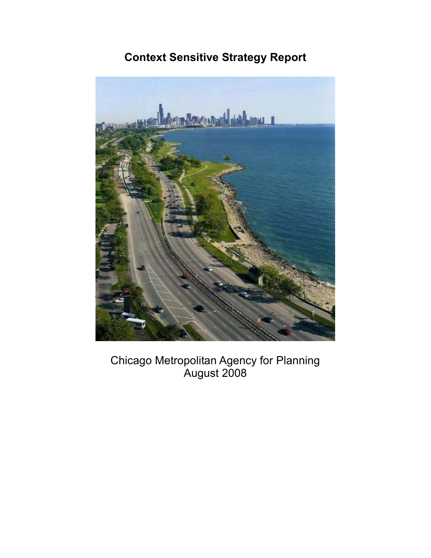# Context Sensitive Strategy Report



Chicago Metropolitan Agency for Planning August 2008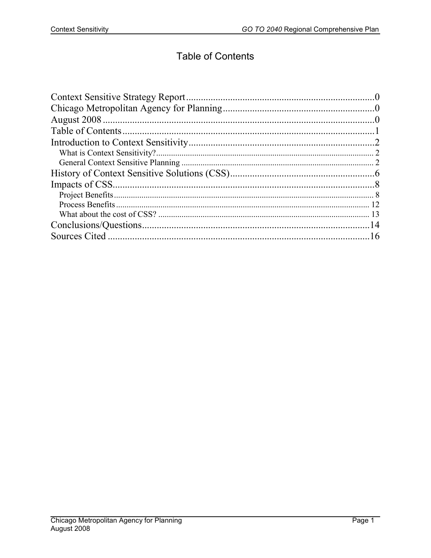## **Table of Contents**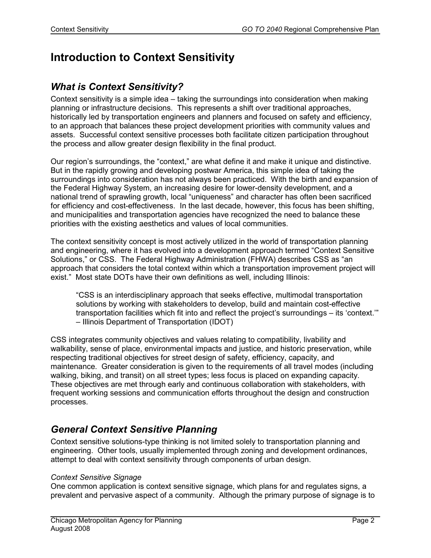# Introduction to Context Sensitivity

### What is Context Sensitivity?

Context sensitivity is a simple idea – taking the surroundings into consideration when making planning or infrastructure decisions. This represents a shift over traditional approaches, historically led by transportation engineers and planners and focused on safety and efficiency, to an approach that balances these project development priorities with community values and assets. Successful context sensitive processes both facilitate citizen participation throughout the process and allow greater design flexibility in the final product.

Our region's surroundings, the "context," are what define it and make it unique and distinctive. But in the rapidly growing and developing postwar America, this simple idea of taking the surroundings into consideration has not always been practiced. With the birth and expansion of the Federal Highway System, an increasing desire for lower-density development, and a national trend of sprawling growth, local "uniqueness" and character has often been sacrificed for efficiency and cost-effectiveness. In the last decade, however, this focus has been shifting, and municipalities and transportation agencies have recognized the need to balance these priorities with the existing aesthetics and values of local communities.

The context sensitivity concept is most actively utilized in the world of transportation planning and engineering, where it has evolved into a development approach termed "Context Sensitive Solutions," or CSS. The Federal Highway Administration (FHWA) describes CSS as "an approach that considers the total context within which a transportation improvement project will exist." Most state DOTs have their own definitions as well, including Illinois:

"CSS is an interdisciplinary approach that seeks effective, multimodal transportation solutions by working with stakeholders to develop, build and maintain cost-effective transportation facilities which fit into and reflect the project's surroundings – its 'context.'" – Illinois Department of Transportation (IDOT)

CSS integrates community objectives and values relating to compatibility, livability and walkability, sense of place, environmental impacts and justice, and historic preservation, while respecting traditional objectives for street design of safety, efficiency, capacity, and maintenance. Greater consideration is given to the requirements of all travel modes (including walking, biking, and transit) on all street types; less focus is placed on expanding capacity. These objectives are met through early and continuous collaboration with stakeholders, with frequent working sessions and communication efforts throughout the design and construction processes.

## General Context Sensitive Planning

Context sensitive solutions-type thinking is not limited solely to transportation planning and engineering. Other tools, usually implemented through zoning and development ordinances, attempt to deal with context sensitivity through components of urban design.

### Context Sensitive Signage

One common application is context sensitive signage, which plans for and regulates signs, a prevalent and pervasive aspect of a community. Although the primary purpose of signage is to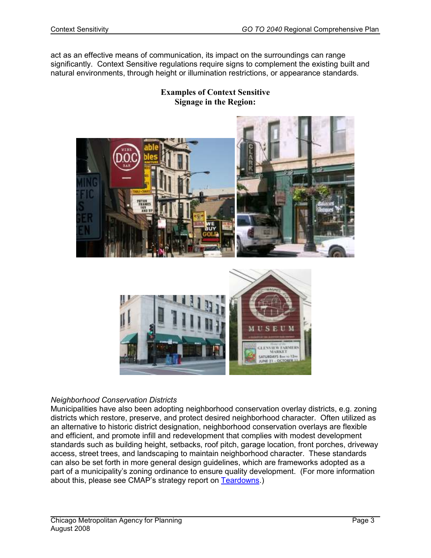act as an effective means of communication, its impact on the surroundings can range significantly. Context Sensitive regulations require signs to complement the existing built and natural environments, through height or illumination restrictions, or appearance standards.

### Examples of Context Sensitive Signage in the Region:



#### Neighborhood Conservation Districts

Municipalities have also been adopting neighborhood conservation overlay districts, e.g. zoning districts which restore, preserve, and protect desired neighborhood character. Often utilized as an alternative to historic district designation, neighborhood conservation overlays are flexible and efficient, and promote infill and redevelopment that complies with modest development standards such as building height, setbacks, roof pitch, garage location, front porches, driveway access, street trees, and landscaping to maintain neighborhood character. These standards can also be set forth in more general design guidelines, which are frameworks adopted as a part of a municipality's zoning ordinance to ensure quality development. (For more information about this, please see CMAP's strategy report on Teardowns.)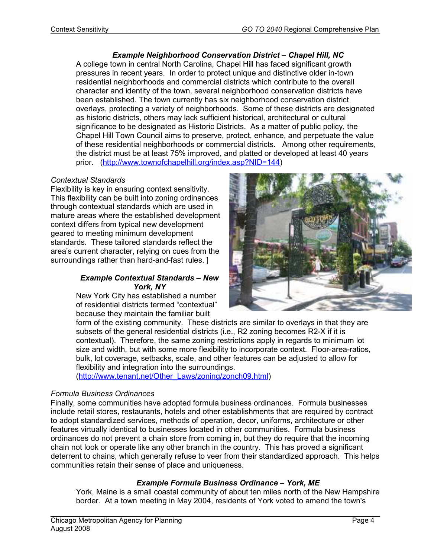Example Neighborhood Conservation District – Chapel Hill, NC A college town in central North Carolina, Chapel Hill has faced significant growth pressures in recent years. In order to protect unique and distinctive older in-town residential neighborhoods and commercial districts which contribute to the overall character and identity of the town, several neighborhood conservation districts have been established. The town currently has six neighborhood conservation district overlays, protecting a variety of neighborhoods. Some of these districts are designated as historic districts, others may lack sufficient historical, architectural or cultural significance to be designated as Historic Districts. As a matter of public policy, the Chapel Hill Town Council aims to preserve, protect, enhance, and perpetuate the value of these residential neighborhoods or commercial districts. Among other requirements, the district must be at least 75% improved, and platted or developed at least 40 years prior. (http://www.townofchapelhill.org/index.asp?NID=144)

#### Contextual Standards

Flexibility is key in ensuring context sensitivity. This flexibility can be built into zoning ordinances through contextual standards which are used in mature areas where the established development context differs from typical new development geared to meeting minimum development standards. These tailored standards reflect the area's current character, relying on cues from the surroundings rather than hard-and-fast rules. ]

#### Example Contextual Standards – New York, NY

New York City has established a number of residential districts termed "contextual" because they maintain the familiar built



form of the existing community. These districts are similar to overlays in that they are subsets of the general residential districts (i.e., R2 zoning becomes R2-X if it is contextual). Therefore, the same zoning restrictions apply in regards to minimum lot size and width, but with some more flexibility to incorporate context. Floor-area-ratios, bulk, lot coverage, setbacks, scale, and other features can be adjusted to allow for flexibility and integration into the surroundings.

(http://www.tenant.net/Other\_Laws/zoning/zonch09.html)

#### Formula Business Ordinances

Finally, some communities have adopted formula business ordinances. Formula businesses include retail stores, restaurants, hotels and other establishments that are required by contract to adopt standardized services, methods of operation, decor, uniforms, architecture or other features virtually identical to businesses located in other communities. Formula business ordinances do not prevent a chain store from coming in, but they do require that the incoming chain not look or operate like any other branch in the country. This has proved a significant deterrent to chains, which generally refuse to veer from their standardized approach. This helps communities retain their sense of place and uniqueness.

#### Example Formula Business Ordinance – York, ME

York, Maine is a small coastal community of about ten miles north of the New Hampshire border. At a town meeting in May 2004, residents of York voted to amend the town's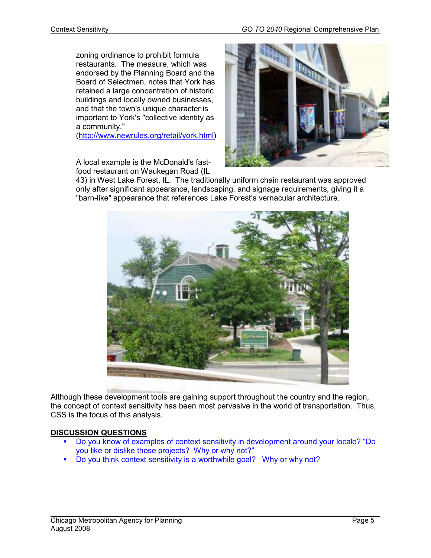zoning ordinance to prohibit formula restaurants. The measure, which was endorsed by the Planning Board and the Board of Selectmen, notes that York has retained a large concentration of historic buildings and locally owned businesses, and that the town's unique character is important to York's "collective identity as a community."

(http://www.newrules.org/retail/york.html)

A local example is the McDonald's fastfood restaurant on Waukegan Road (IL



43) in West Lake Forest, IL. The traditionally uniform chain restaurant was approved only after significant appearance, landscaping, and signage requirements, giving it a "barn-like" appearance that references Lake Forest's vernacular architecture.



Although these development tools are gaining support throughout the country and the region, the concept of context sensitivity has been most pervasive in the world of transportation. Thus, CSS is the focus of this analysis.

### DISCUSSION QUESTIONS

- Do you know of examples of context sensitivity in development around your locale? "Do you like or dislike those projects? Why or why not?"
- Do you think context sensitivity is a worthwhile goal? Why or why not?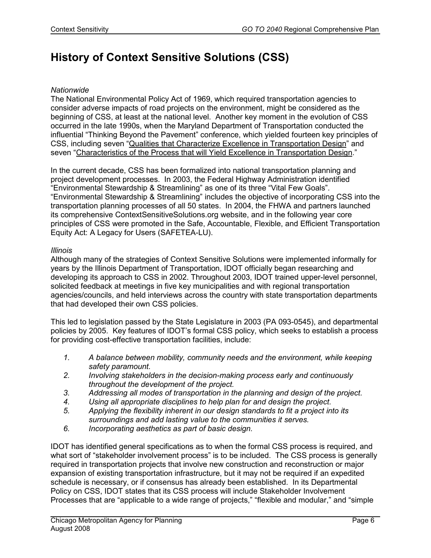# History of Context Sensitive Solutions (CSS)

#### **Nationwide**

The National Environmental Policy Act of 1969, which required transportation agencies to consider adverse impacts of road projects on the environment, might be considered as the beginning of CSS, at least at the national level. Another key moment in the evolution of CSS occurred in the late 1990s, when the Maryland Department of Transportation conducted the influential "Thinking Beyond the Pavement" conference, which yielded fourteen key principles of CSS, including seven "Qualities that Characterize Excellence in Transportation Design" and seven "Characteristics of the Process that will Yield Excellence in Transportation Design."

In the current decade, CSS has been formalized into national transportation planning and project development processes. In 2003, the Federal Highway Administration identified "Environmental Stewardship & Streamlining" as one of its three "Vital Few Goals". "Environmental Stewardship & Streamlining" includes the objective of incorporating CSS into the transportation planning processes of all 50 states. In 2004, the FHWA and partners launched its comprehensive ContextSensitiveSolutions.org website, and in the following year core principles of CSS were promoted in the Safe, Accountable, Flexible, and Efficient Transportation Equity Act: A Legacy for Users (SAFETEA-LU).

#### Illinois

Although many of the strategies of Context Sensitive Solutions were implemented informally for years by the Illinois Department of Transportation, IDOT officially began researching and developing its approach to CSS in 2002. Throughout 2003, IDOT trained upper-level personnel, solicited feedback at meetings in five key municipalities and with regional transportation agencies/councils, and held interviews across the country with state transportation departments that had developed their own CSS policies.

This led to legislation passed by the State Legislature in 2003 (PA 093-0545), and departmental policies by 2005. Key features of IDOT's formal CSS policy, which seeks to establish a process for providing cost-effective transportation facilities, include:

- 1. A balance between mobility, community needs and the environment, while keeping safety paramount.
- 2. Involving stakeholders in the decision-making process early and continuously throughout the development of the project.
- 3. Addressing all modes of transportation in the planning and design of the project.
- 4. Using all appropriate disciplines to help plan for and design the project.
- 5. Applying the flexibility inherent in our design standards to fit a project into its surroundings and add lasting value to the communities it serves.
- 6. Incorporating aesthetics as part of basic design.

IDOT has identified general specifications as to when the formal CSS process is required, and what sort of "stakeholder involvement process" is to be included. The CSS process is generally required in transportation projects that involve new construction and reconstruction or major expansion of existing transportation infrastructure, but it may not be required if an expedited schedule is necessary, or if consensus has already been established. In its Departmental Policy on CSS, IDOT states that its CSS process will include Stakeholder Involvement Processes that are "applicable to a wide range of projects," "flexible and modular," and "simple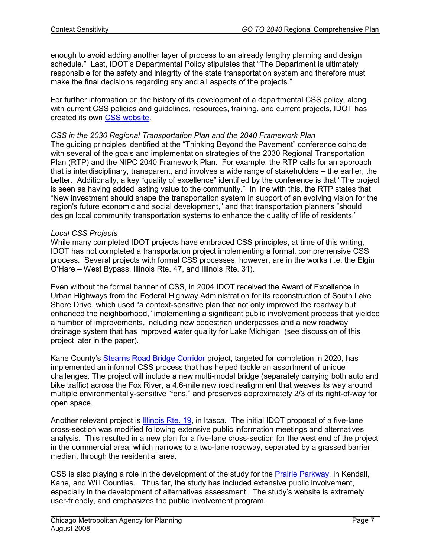enough to avoid adding another layer of process to an already lengthy planning and design schedule." Last, IDOT's Departmental Policy stipulates that "The Department is ultimately responsible for the safety and integrity of the state transportation system and therefore must make the final decisions regarding any and all aspects of the projects."

For further information on the history of its development of a departmental CSS policy, along with current CSS policies and guidelines, resources, training, and current projects, IDOT has created its own CSS website.

#### CSS in the 2030 Regional Transportation Plan and the 2040 Framework Plan

The guiding principles identified at the "Thinking Beyond the Pavement" conference coincide with several of the goals and implementation strategies of the 2030 Regional Transportation Plan (RTP) and the NIPC 2040 Framework Plan. For example, the RTP calls for an approach that is interdisciplinary, transparent, and involves a wide range of stakeholders – the earlier, the better. Additionally, a key "quality of excellence" identified by the conference is that "The project is seen as having added lasting value to the community." In line with this, the RTP states that "New investment should shape the transportation system in support of an evolving vision for the region's future economic and social development," and that transportation planners "should design local community transportation systems to enhance the quality of life of residents."

#### Local CSS Projects

While many completed IDOT projects have embraced CSS principles, at time of this writing, IDOT has not completed a transportation project implementing a formal, comprehensive CSS process. Several projects with formal CSS processes, however, are in the works (i.e. the Elgin O'Hare – West Bypass, Illinois Rte. 47, and Illinois Rte. 31).

Even without the formal banner of CSS, in 2004 IDOT received the Award of Excellence in Urban Highways from the Federal Highway Administration for its reconstruction of South Lake Shore Drive, which used "a context-sensitive plan that not only improved the roadway but enhanced the neighborhood," implementing a significant public involvement process that yielded a number of improvements, including new pedestrian underpasses and a new roadway drainage system that has improved water quality for Lake Michigan (see discussion of this project later in the paper).

Kane County's Stearns Road Bridge Corridor project, targeted for completion in 2020, has implemented an informal CSS process that has helped tackle an assortment of unique challenges. The project will include a new multi-modal bridge (separately carrying both auto and bike traffic) across the Fox River, a 4.6-mile new road realignment that weaves its way around multiple environmentally-sensitive "fens," and preserves approximately 2/3 of its right-of-way for open space.

Another relevant project is **Illinois Rte. 19**, in Itasca. The initial IDOT proposal of a five-lane cross-section was modified following extensive public information meetings and alternatives analysis. This resulted in a new plan for a five-lane cross-section for the west end of the project in the commercial area, which narrows to a two-lane roadway, separated by a grassed barrier median, through the residential area.

CSS is also playing a role in the development of the study for the Prairie Parkway, in Kendall, Kane, and Will Counties. Thus far, the study has included extensive public involvement, especially in the development of alternatives assessment. The study's website is extremely user-friendly, and emphasizes the public involvement program.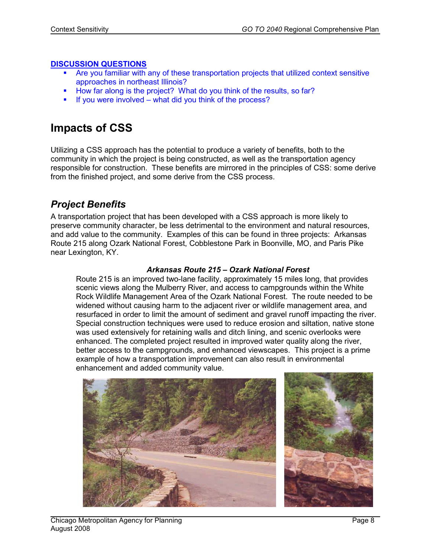### DISCUSSION QUESTIONS

- Are you familiar with any of these transportation projects that utilized context sensitive approaches in northeast Illinois?
- How far along is the project? What do you think of the results, so far?
- $\blacksquare$  If you were involved what did you think of the process?

## Impacts of CSS

Utilizing a CSS approach has the potential to produce a variety of benefits, both to the community in which the project is being constructed, as well as the transportation agency responsible for construction. These benefits are mirrored in the principles of CSS: some derive from the finished project, and some derive from the CSS process.

## Project Benefits

A transportation project that has been developed with a CSS approach is more likely to preserve community character, be less detrimental to the environment and natural resources, and add value to the community. Examples of this can be found in three projects: Arkansas Route 215 along Ozark National Forest, Cobblestone Park in Boonville, MO, and Paris Pike near Lexington, KY.

#### Arkansas Route 215 – Ozark National Forest

Route 215 is an improved two-lane facility, approximately 15 miles long, that provides scenic views along the Mulberry River, and access to campgrounds within the White Rock Wildlife Management Area of the Ozark National Forest. The route needed to be widened without causing harm to the adjacent river or wildlife management area, and resurfaced in order to limit the amount of sediment and gravel runoff impacting the river. Special construction techniques were used to reduce erosion and siltation, native stone was used extensively for retaining walls and ditch lining, and scenic overlooks were enhanced. The completed project resulted in improved water quality along the river, better access to the campgrounds, and enhanced viewscapes. This project is a prime example of how a transportation improvement can also result in environmental enhancement and added community value.

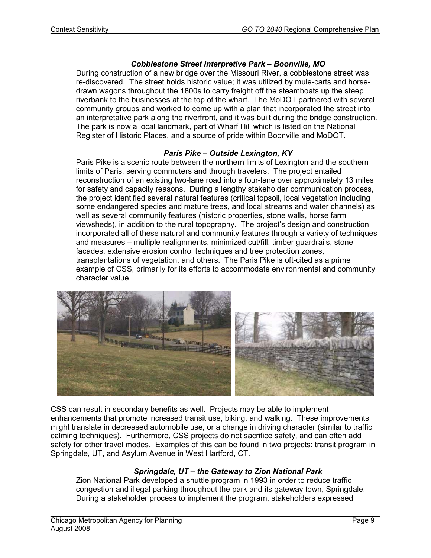#### Cobblestone Street Interpretive Park – Boonville, MO

During construction of a new bridge over the Missouri River, a cobblestone street was re-discovered. The street holds historic value; it was utilized by mule-carts and horsedrawn wagons throughout the 1800s to carry freight off the steamboats up the steep riverbank to the businesses at the top of the wharf. The MoDOT partnered with several community groups and worked to come up with a plan that incorporated the street into an interpretative park along the riverfront, and it was built during the bridge construction. The park is now a local landmark, part of Wharf Hill which is listed on the National Register of Historic Places, and a source of pride within Boonville and MoDOT.

### Paris Pike – Outside Lexington, KY

Paris Pike is a scenic route between the northern limits of Lexington and the southern limits of Paris, serving commuters and through travelers. The project entailed reconstruction of an existing two-lane road into a four-lane over approximately 13 miles for safety and capacity reasons. During a lengthy stakeholder communication process, the project identified several natural features (critical topsoil, local vegetation including some endangered species and mature trees, and local streams and water channels) as well as several community features (historic properties, stone walls, horse farm viewsheds), in addition to the rural topography. The project's design and construction incorporated all of these natural and community features through a variety of techniques and measures – multiple realignments, minimized cut/fill, timber guardrails, stone facades, extensive erosion control techniques and tree protection zones, transplantations of vegetation, and others. The Paris Pike is oft-cited as a prime example of CSS, primarily for its efforts to accommodate environmental and community character value.



CSS can result in secondary benefits as well. Projects may be able to implement enhancements that promote increased transit use, biking, and walking. These improvements might translate in decreased automobile use, or a change in driving character (similar to traffic calming techniques). Furthermore, CSS projects do not sacrifice safety, and can often add safety for other travel modes. Examples of this can be found in two projects: transit program in Springdale, UT, and Asylum Avenue in West Hartford, CT.

### Springdale, UT – the Gateway to Zion National Park

Zion National Park developed a shuttle program in 1993 in order to reduce traffic congestion and illegal parking throughout the park and its gateway town, Springdale. During a stakeholder process to implement the program, stakeholders expressed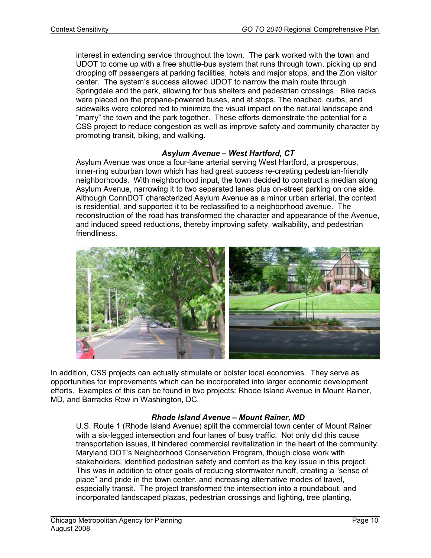interest in extending service throughout the town. The park worked with the town and UDOT to come up with a free shuttle-bus system that runs through town, picking up and dropping off passengers at parking facilities, hotels and major stops, and the Zion visitor center. The system's success allowed UDOT to narrow the main route through Springdale and the park, allowing for bus shelters and pedestrian crossings. Bike racks were placed on the propane-powered buses, and at stops. The roadbed, curbs, and sidewalks were colored red to minimize the visual impact on the natural landscape and "marry" the town and the park together. These efforts demonstrate the potential for a CSS project to reduce congestion as well as improve safety and community character by promoting transit, biking, and walking.

### Asylum Avenue – West Hartford, CT

Asylum Avenue was once a four-lane arterial serving West Hartford, a prosperous, inner-ring suburban town which has had great success re-creating pedestrian-friendly neighborhoods. With neighborhood input, the town decided to construct a median along Asylum Avenue, narrowing it to two separated lanes plus on-street parking on one side. Although ConnDOT characterized Asylum Avenue as a minor urban arterial, the context is residential, and supported it to be reclassified to a neighborhood avenue. The reconstruction of the road has transformed the character and appearance of the Avenue, and induced speed reductions, thereby improving safety, walkability, and pedestrian friendliness.



In addition, CSS projects can actually stimulate or bolster local economies. They serve as opportunities for improvements which can be incorporated into larger economic development efforts. Examples of this can be found in two projects: Rhode Island Avenue in Mount Rainer, MD, and Barracks Row in Washington, DC.

### Rhode Island Avenue – Mount Rainer, MD

U.S. Route 1 (Rhode Island Avenue) split the commercial town center of Mount Rainer with a six-legged intersection and four lanes of busy traffic. Not only did this cause transportation issues, it hindered commercial revitalization in the heart of the community. Maryland DOT's Neighborhood Conservation Program, though close work with stakeholders, identified pedestrian safety and comfort as the key issue in this project. This was in addition to other goals of reducing stormwater runoff, creating a "sense of place" and pride in the town center, and increasing alternative modes of travel, especially transit. The project transformed the intersection into a roundabout, and incorporated landscaped plazas, pedestrian crossings and lighting, tree planting,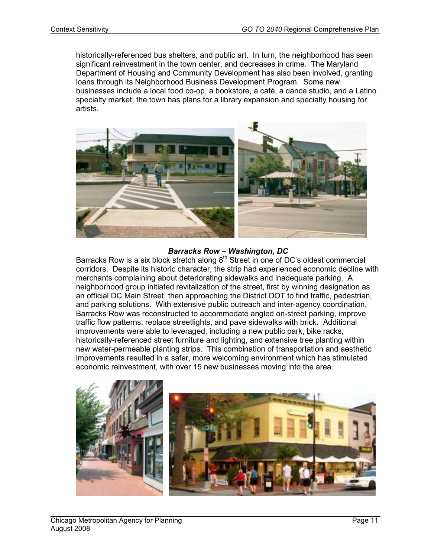historically-referenced bus shelters, and public art. In turn, the neighborhood has seen significant reinvestment in the town center, and decreases in crime. The Maryland Department of Housing and Community Development has also been involved, granting loans through its Neighborhood Business Development Program. Some new businesses include a local food co-op, a bookstore, a café, a dance studio, and a Latino specialty market; the town has plans for a library expansion and specialty housing for artists.



#### Barracks Row – Washington, DC

Barracks Row is a six block stretch along  $8<sup>th</sup>$  Street in one of DC's oldest commercial corridors. Despite its historic character, the strip had experienced economic decline with merchants complaining about deteriorating sidewalks and inadequate parking. A neighborhood group initiated revitalization of the street, first by winning designation as an official DC Main Street, then approaching the District DOT to find traffic, pedestrian, and parking solutions. With extensive public outreach and inter-agency coordination, Barracks Row was reconstructed to accommodate angled on-street parking, improve traffic flow patterns, replace streetlights, and pave sidewalks with brick. Additional improvements were able to leveraged, including a new public park, bike racks, historically-referenced street furniture and lighting, and extensive tree planting within new water-permeable planting strips. This combination of transportation and aesthetic improvements resulted in a safer, more welcoming environment which has stimulated economic reinvestment, with over 15 new businesses moving into the area.

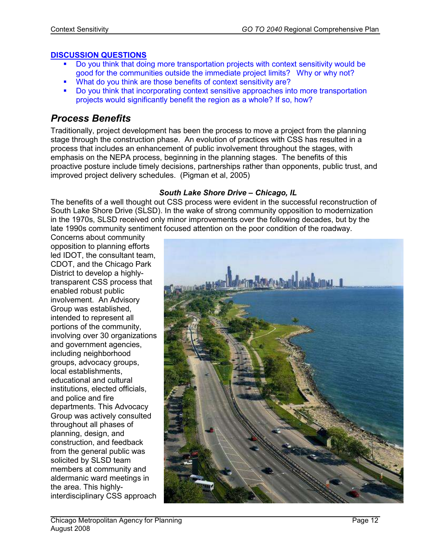### DISCUSSION QUESTIONS

- Do you think that doing more transportation projects with context sensitivity would be good for the communities outside the immediate project limits? Why or why not?
- What do you think are those benefits of context sensitivity are?
- Do you think that incorporating context sensitive approaches into more transportation projects would significantly benefit the region as a whole? If so, how?

### Process Benefits

Traditionally, project development has been the process to move a project from the planning stage through the construction phase. An evolution of practices with CSS has resulted in a process that includes an enhancement of public involvement throughout the stages, with emphasis on the NEPA process, beginning in the planning stages. The benefits of this proactive posture include timely decisions, partnerships rather than opponents, public trust, and improved project delivery schedules. (Pigman et al, 2005)

### South Lake Shore Drive – Chicago, IL

The benefits of a well thought out CSS process were evident in the successful reconstruction of South Lake Shore Drive (SLSD). In the wake of strong community opposition to modernization in the 1970s, SLSD received only minor improvements over the following decades, but by the late 1990s community sentiment focused attention on the poor condition of the roadway.

Concerns about community opposition to planning efforts led IDOT, the consultant team, CDOT, and the Chicago Park District to develop a highlytransparent CSS process that enabled robust public involvement. An Advisory Group was established, intended to represent all portions of the community, involving over 30 organizations and government agencies, including neighborhood groups, advocacy groups, local establishments, educational and cultural institutions, elected officials, and police and fire departments. This Advocacy Group was actively consulted throughout all phases of planning, design, and construction, and feedback from the general public was solicited by SLSD team members at community and aldermanic ward meetings in the area. This highlyinterdisciplinary CSS approach

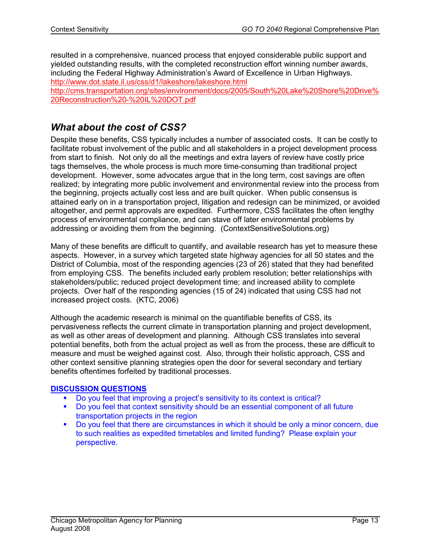resulted in a comprehensive, nuanced process that enjoyed considerable public support and yielded outstanding results, with the completed reconstruction effort winning number awards, including the Federal Highway Administration's Award of Excellence in Urban Highways. http://www.dot.state.il.us/css/d1/lakeshore/lakeshore.html http://cms.transportation.org/sites/environment/docs/2005/South%20Lake%20Shore%20Drive%

20Reconstruction%20-%20IL%20DOT.pdf

### What about the cost of CSS?

Despite these benefits, CSS typically includes a number of associated costs. It can be costly to facilitate robust involvement of the public and all stakeholders in a project development process from start to finish. Not only do all the meetings and extra layers of review have costly price tags themselves, the whole process is much more time-consuming than traditional project development. However, some advocates argue that in the long term, cost savings are often realized; by integrating more public involvement and environmental review into the process from the beginning, projects actually cost less and are built quicker. When public consensus is attained early on in a transportation project, litigation and redesign can be minimized, or avoided altogether, and permit approvals are expedited. Furthermore, CSS facilitates the often lengthy process of environmental compliance, and can stave off later environmental problems by addressing or avoiding them from the beginning. (ContextSensitiveSolutions.org)

Many of these benefits are difficult to quantify, and available research has yet to measure these aspects. However, in a survey which targeted state highway agencies for all 50 states and the District of Columbia, most of the responding agencies (23 of 26) stated that they had benefited from employing CSS. The benefits included early problem resolution; better relationships with stakeholders/public; reduced project development time; and increased ability to complete projects. Over half of the responding agencies (15 of 24) indicated that using CSS had not increased project costs. (KTC, 2006)

Although the academic research is minimal on the quantifiable benefits of CSS, its pervasiveness reflects the current climate in transportation planning and project development, as well as other areas of development and planning. Although CSS translates into several potential benefits, both from the actual project as well as from the process, these are difficult to measure and must be weighed against cost. Also, through their holistic approach, CSS and other context sensitive planning strategies open the door for several secondary and tertiary benefits oftentimes forfeited by traditional processes.

### DISCUSSION QUESTIONS

- Do you feel that improving a project's sensitivity to its context is critical?
- Do you feel that context sensitivity should be an essential component of all future transportation projects in the region
- Do you feel that there are circumstances in which it should be only a minor concern, due to such realities as expedited timetables and limited funding? Please explain your perspective.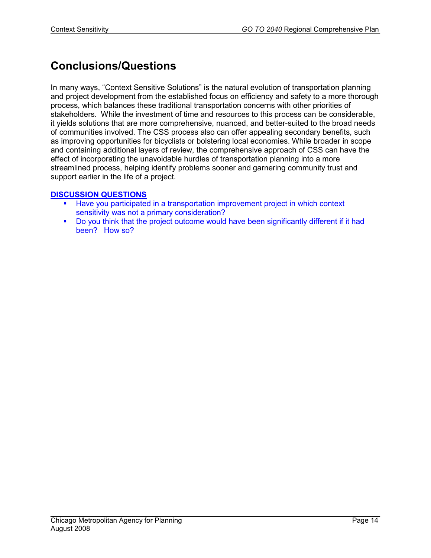# Conclusions/Questions

In many ways, "Context Sensitive Solutions" is the natural evolution of transportation planning and project development from the established focus on efficiency and safety to a more thorough process, which balances these traditional transportation concerns with other priorities of stakeholders. While the investment of time and resources to this process can be considerable, it yields solutions that are more comprehensive, nuanced, and better-suited to the broad needs of communities involved. The CSS process also can offer appealing secondary benefits, such as improving opportunities for bicyclists or bolstering local economies. While broader in scope and containing additional layers of review, the comprehensive approach of CSS can have the effect of incorporating the unavoidable hurdles of transportation planning into a more streamlined process, helping identify problems sooner and garnering community trust and support earlier in the life of a project.

### DISCUSSION QUESTIONS

- Have you participated in a transportation improvement project in which context sensitivity was not a primary consideration?
- Do you think that the project outcome would have been significantly different if it had been? How so?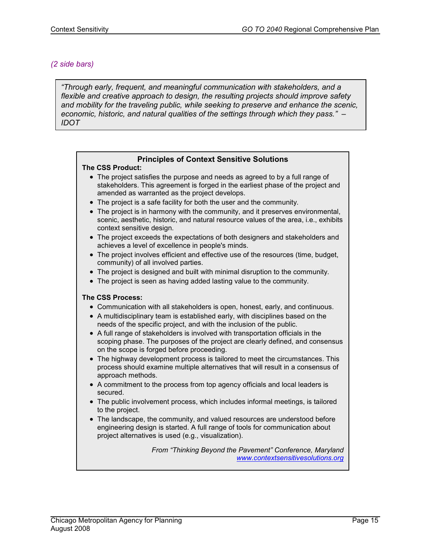#### (2 side bars)

"Through early, frequent, and meaningful communication with stakeholders, and a flexible and creative approach to design, the resulting projects should improve safety and mobility for the traveling public, while seeking to preserve and enhance the scenic, economic, historic, and natural qualities of the settings through which they pass." – IDOT

#### Principles of Context Sensitive Solutions

#### The CSS Product:

- The project satisfies the purpose and needs as agreed to by a full range of stakeholders. This agreement is forged in the earliest phase of the project and amended as warranted as the project develops.
- The project is a safe facility for both the user and the community.
- The project is in harmony with the community, and it preserves environmental, scenic, aesthetic, historic, and natural resource values of the area, i.e., exhibits context sensitive design.
- The project exceeds the expectations of both designers and stakeholders and achieves a level of excellence in people's minds.
- The project involves efficient and effective use of the resources (time, budget, community) of all involved parties.
- The project is designed and built with minimal disruption to the community.
- The project is seen as having added lasting value to the community.

#### The CSS Process:

- Communication with all stakeholders is open, honest, early, and continuous.
- A multidisciplinary team is established early, with disciplines based on the needs of the specific project, and with the inclusion of the public.
- A full range of stakeholders is involved with transportation officials in the scoping phase. The purposes of the project are clearly defined, and consensus on the scope is forged before proceeding.
- The highway development process is tailored to meet the circumstances. This process should examine multiple alternatives that will result in a consensus of approach methods.
- A commitment to the process from top agency officials and local leaders is secured.
- The public involvement process, which includes informal meetings, is tailored to the project.
- The landscape, the community, and valued resources are understood before engineering design is started. A full range of tools for communication about project alternatives is used (e.g., visualization).

From "Thinking Beyond the Pavement" Conference, Maryland www.contextsensitivesolutions.org